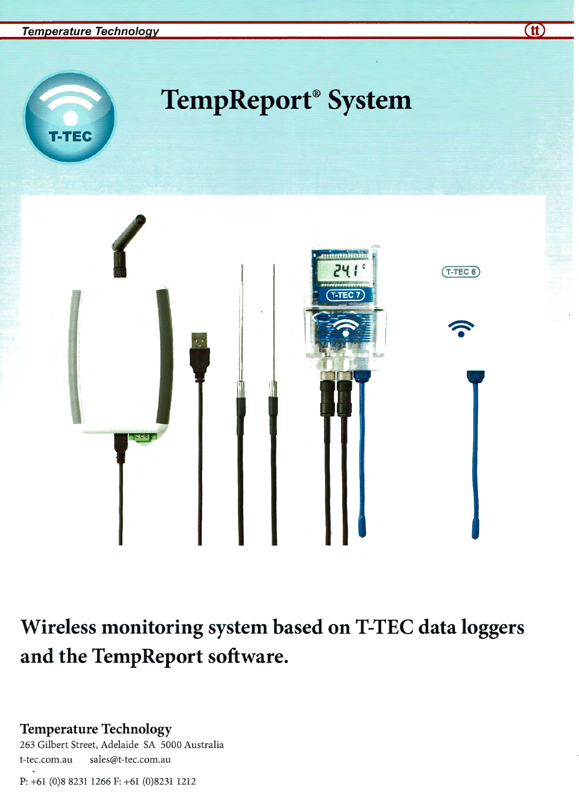

# **Wireless monitoring system based on T-TEC data loggers and the TempReport software.**

### **Temperature Technology**

263 Gilbert Street, Adelaide SA 5000 Australia t-tec.com.au sales@t-tec.com.au

P: +61 (0)8 8231 1266 F: +61 (0)8231 1212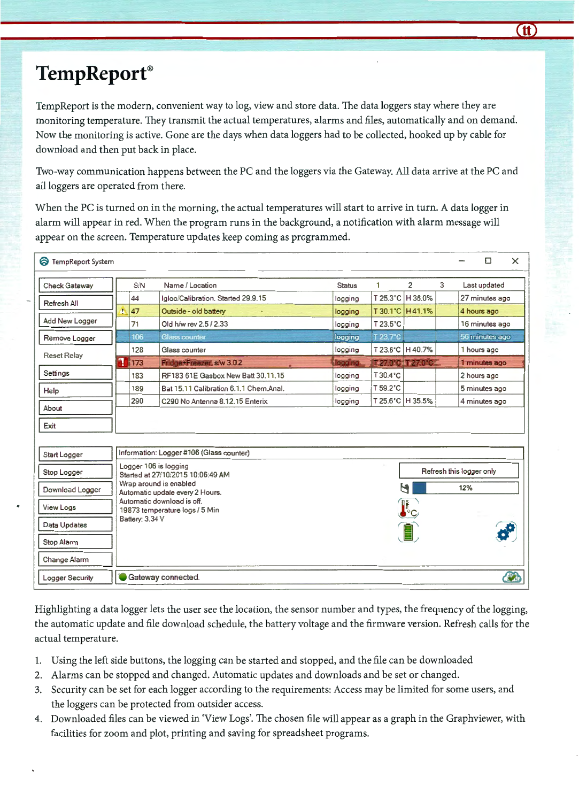### **Temp Report®**

TempReport is the modern, convenient way to log, view and store data. The data loggers stay where they are monitoring temperature. They transmit the actual temperatures, alarms and files, automatically and on demand. Now the monitoring is active. Gone are the days when data loggers had to be collected, hooked up by cable for download and then put back in place.

Two-way communication happens between the PC and the loggers via the Gateway. All data arrive at the PC and all loggers are operated from there.

When the PC is turned on in the morning, the actual temperatures will start to arrive in turn. A data logger in alarm will appear in red. When the program runs in the background, a notification with alarm message will appear on the screen. Temperature updates keep coming as programmed.

| <b>TempReport System</b> |                                                               |                                                                                        |                                        |               |                       |                    |   | $\times$<br>◘  |  |
|--------------------------|---------------------------------------------------------------|----------------------------------------------------------------------------------------|----------------------------------------|---------------|-----------------------|--------------------|---|----------------|--|
| Check Gateway            |                                                               | S/N                                                                                    | Name / Location                        | <b>Status</b> | 1                     | $\overline{2}$     | 3 | Last updated   |  |
| Refresh All              |                                                               | 44                                                                                     | Igloo/Calibration. Started 29.9.15     | logging       |                       | T 25.3°C   H 36.0% |   | 27 minutes ago |  |
|                          |                                                               | 47                                                                                     | Outside - old battery                  | logging       |                       | T 30.1°C H 41.1%   |   | 4 hours ago    |  |
| Add New Logger           |                                                               | 71                                                                                     | Old h/w rev 2.5 / 2.33                 | logging       | $T$ 23.5 $^{\circ}$ C |                    |   | 16 minutes ago |  |
| Remove Logger            |                                                               | 106                                                                                    | <b>Glass counter</b>                   | logging       | T 23.7°C              |                    |   | 56 minutes ago |  |
| <b>Reset Relay</b>       |                                                               | 128                                                                                    | Glass counter                          | logging       |                       | T 23.6°C   H 40.7% |   | 1 hours ago    |  |
|                          | d                                                             | 173                                                                                    | Fridge+Freezer, s/w 3.0.2              | logging       |                       | T2700 T2700        |   | 1 minutes ago  |  |
| Settings                 |                                                               | 183                                                                                    | RF183 61E Gasbox New Batt 30.11.15     | logging       | T 30.4°C              |                    |   | 2 hours ago    |  |
| Help                     |                                                               | 189                                                                                    | Bat 15.11 Calibration 6.1.1 Chem Anal. | logging       | $T 59.2^{\circ}C$     |                    |   | 5 minutes ago  |  |
| About                    |                                                               | 290                                                                                    | C290 No Antenna 8.12.15 Enterix        | logging       |                       | T 25.6°C   H 35.5% |   | 4 minutes ago  |  |
|                          |                                                               |                                                                                        |                                        |               |                       |                    |   |                |  |
| Exit                     |                                                               |                                                                                        |                                        |               |                       |                    |   |                |  |
|                          |                                                               |                                                                                        |                                        |               |                       |                    |   |                |  |
| Start Logger             |                                                               | Information: Logger #106 (Glass counter)                                               |                                        |               |                       |                    |   |                |  |
| Stop Logger              |                                                               | Logger 106 is logging<br>Refresh this logger only<br>Started at 27/10/2015 10:06:49 AM |                                        |               |                       |                    |   |                |  |
|                          |                                                               | Wrap around is enabled<br>Ч<br>12%                                                     |                                        |               |                       |                    |   |                |  |
| Download Logger          | Automatic update every 2 Hours.<br>Automatic download is off. |                                                                                        |                                        |               |                       |                    |   |                |  |
| View Logs                |                                                               | $\mathbf{I}_\mathrm{c}$<br>19873 temperature logs / 5 Min                              |                                        |               |                       |                    |   |                |  |
| Data Updates             |                                                               | Battery: 3.34 V                                                                        |                                        |               |                       |                    |   |                |  |
|                          |                                                               |                                                                                        |                                        |               |                       |                    |   |                |  |
| Stop Alarm               |                                                               |                                                                                        |                                        |               |                       |                    |   |                |  |
| Change Alarm             |                                                               |                                                                                        |                                        |               |                       |                    |   |                |  |
| Logger Security          |                                                               |                                                                                        | Gateway connected.                     |               |                       |                    |   | <b>CA</b>      |  |

Highlighting a data logger lets the user see the location, the sensor number and types, the frequency of the logging, the automatic update and file download schedule, the battery voltage and the firmware version. Refresh calls for the actual temperature.

- 1. Using the left side buttons, the logging can be started and stopped, and the file can be downloaded
- 2. Alarms can be stopped and changed. Automatic updates and downloads and be set or changed.
- 3. Security can be set for each logger according to the requirements: Access may be limited for some users, and the loggers can be protected from outsider access.
- 4. Downloaded files can be viewed in 'View Logs'. The chosen file will appear as a graph in the Graphviewer, with facilities for zoom and plot, printing and saving for spreadsheet programs.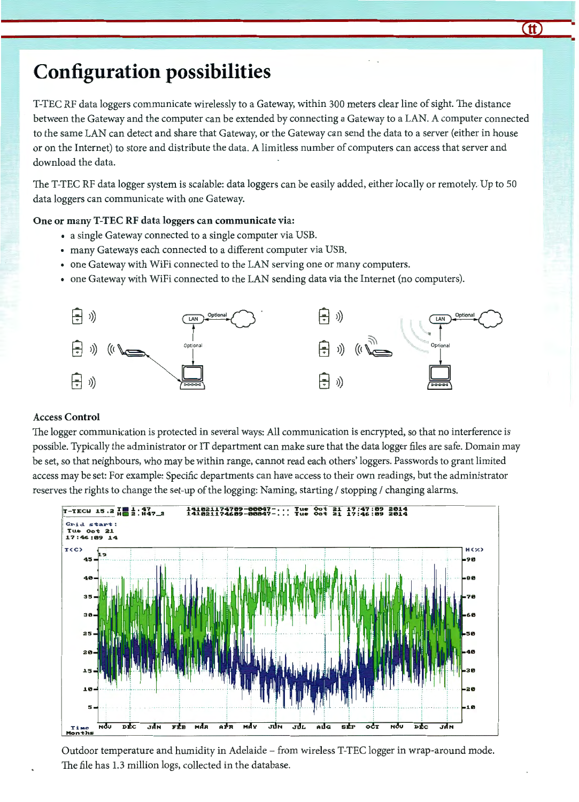### **Configuration possibilities**

T-TEC RF data loggers communicate wirelessly to a Gateway, within 300 meters clear line of sight. The distance between the Gateway and the computer can be extended by connecting a Gateway to a LAN. A computer connected to the same LAN can detect and share that Gateway, or the Gateway can send the data to a server (either in house or on the Internet) to store and distribute the data. A limitless number of computers can access that server and download the data.

The T-TEC RF data logger system is scalable: data loggers can be easily added, either locally or remotely. Up to 50 data loggers can communicate with one Gateway.

#### One or many T-TEC RF data loggers can communicate via:

- a single Gateway connected to a single computer via USB.
- many Gateways each connected to a different computer via USB.
- one Gateway with WiFi connected to the LAN serving one or many computers.
- 



#### Access Control

The logger communication is protected in several ways: All communication is encrypted, so that no interference is possible. Typically the administrator or IT department can make sure that the data logger files are safe. Domain may be set, so that neighbours, who may be within range, cannot read each others' loggers. Passwords to grant limited access may be set: For example: Specific departments can have access to their own readings, but the administrator reserves the rights to change the set-up of the logging: Naming, starting / stopping / changing alarms.



Outdoor temperature and humidity in Adelaide - from wireless T-TEC logger in wrap-around mode. The file has 1.3 million logs, collected in the database.